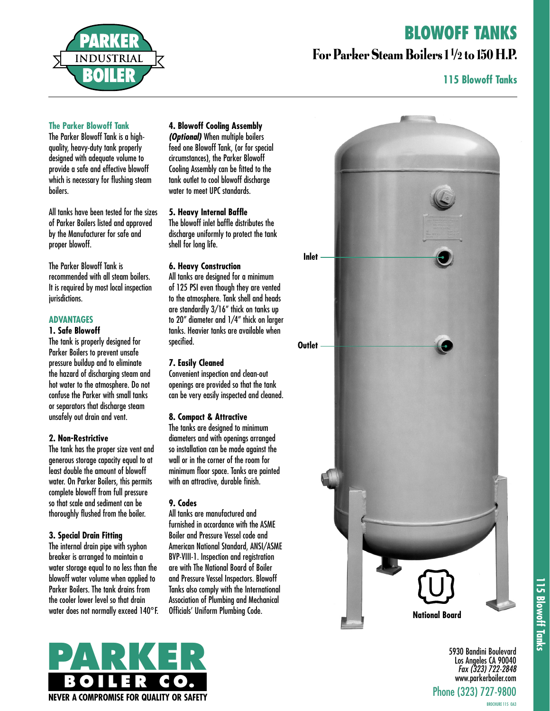## **BLOWOFF TANKS**



### For Parker Steam Boilers 1 1 /2 to 150 H.P.

#### **115 Blowoff Tanks**

#### **The Parker Blowoff Tank**

The Parker Blowoff Tank is a highquality, heavy-duty tank properly designed with adequate volume to provide a safe and effective blowoff which is necessary for flushing steam boilers.

All tanks have been tested for the sizes of Parker Boilers listed and approved by the Manufacturer for safe and proper blowoff.

The Parker Blowoff Tank is recommended with all steam boilers. It is required by most local inspection jurisdictions.

#### **ADVANTAGES**

#### **1. Safe Blowoff**

The tank is properly designed for Parker Boilers to prevent unsafe pressure buildup and to eliminate the hazard of discharging steam and hot water to the atmosphere. Do not confuse the Parker with small tanks or separators that discharge steam unsafely out drain and vent.

#### **2. Non-Restrictive**

The tank has the proper size vent and generous storage capacity equal to at least double the amount of blowoff water. On Parker Boilers, this permits complete blowoff from full pressure so that scale and sediment can be thoroughly flushed from the boiler.

#### **3. Special Drain Fitting**

The internal drain pipe with syphon breaker is arranged to maintain a water storage equal to no less than the blowoff water volume when applied to Parker Boilers. The tank drains from the cooler lower level so that drain water does not normally exceed 140°F.

#### **4. Blowoff Cooling Assembly**

**(Optional)** When multiple boilers feed one Blowoff Tank, (or for special circumstances), the Parker Blowoff Cooling Assembly can be fitted to the tank outlet to cool blowoff discharge water to meet UPC standards.

#### **5. Heavy Internal Baffle**

The blowoff inlet baffle distributes the discharge uniformly to protect the tank shell for long life.

#### **6. Heavy Construction**

All tanks are designed for a minimum of 125 PSI even though they are vented to the atmosphere. Tank shell and heads are standardly 3/16" thick on tanks up to 20" diameter and 1/4" thick on larger tanks. Heavier tanks are available when specified.

#### **7. Easily Cleaned**

Convenient inspection and clean-out openings are provided so that the tank can be very easily inspected and cleaned.

#### **8. Compact & Attractive**

The tanks are designed to minimum diameters and with openings arranged so installation can be made against the wall or in the corner of the room for minimum floor space. Tanks are painted with an attractive, durable finish.

#### **9. Codes**

All tanks are manufactured and furnished in accordance with the ASME Boiler and Pressure Vessel code and American National Standard, ANSI/ASME BVP-VIII-1. Inspection and registration are with The National Board of Boiler and Pressure Vessel Inspectors. Blowoff Tanks also comply with the International Association of Plumbing and Mechanical Officials' Uniform Plumbing Code.





115 Blowoff Tanks **115 Blowoff Tanks**

5930 Bandini Boulevard Los Angeles CA 90040 Fax (323) 722-2848 www.parkerboiler.com Phone (323) 727-9800

BROCHURE 115 OA3